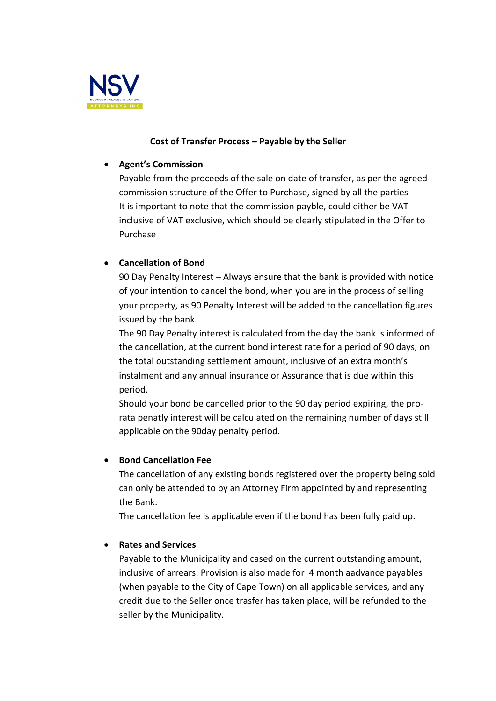

## **Cost of Transfer Process – Payable by the Seller**

### • **Agent's Commission**

Payable from the proceeds of the sale on date of transfer, as per the agreed commission structure of the Offer to Purchase, signed by all the parties It is important to note that the commission payble, could either be VAT inclusive of VAT exclusive, which should be clearly stipulated in the Offer to Purchase

# • **Cancellation of Bond**

90 Day Penalty Interest – Always ensure that the bank is provided with notice of your intention to cancel the bond, when you are in the process of selling your property, as 90 Penalty Interest will be added to the cancellation figures issued by the bank.

The 90 Day Penalty interest is calculated from the day the bank is informed of the cancellation, at the current bond interest rate for a period of 90 days, on the total outstanding settlement amount, inclusive of an extra month's instalment and any annual insurance or Assurance that is due within this period.

Should your bond be cancelled prior to the 90 day period expiring, the prorata penatly interest will be calculated on the remaining number of days still applicable on the 90day penalty period.

### • **Bond Cancellation Fee**

The cancellation of any existing bonds registered over the property being sold can only be attended to by an Attorney Firm appointed by and representing the Bank.

The cancellation fee is applicable even if the bond has been fully paid up.

### • **Rates and Services**

Payable to the Municipality and cased on the current outstanding amount, inclusive of arrears. Provision is also made for 4 month aadvance payables (when payable to the City of Cape Town) on all applicable services, and any credit due to the Seller once trasfer has taken place, will be refunded to the seller by the Municipality.